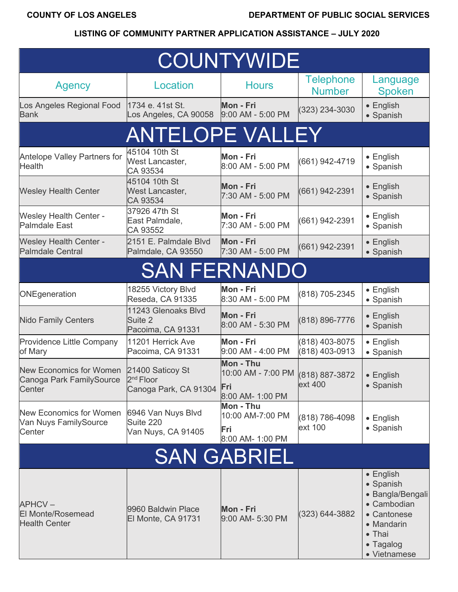| <b>COUNTYWIDE</b>                                                    |                                                                    |                                                                           |                                   |                                                                                                                                       |
|----------------------------------------------------------------------|--------------------------------------------------------------------|---------------------------------------------------------------------------|-----------------------------------|---------------------------------------------------------------------------------------------------------------------------------------|
| <b>Agency</b>                                                        | Location                                                           | <b>Hours</b>                                                              | <b>Telephone</b><br><b>Number</b> | Language<br><b>Spoken</b>                                                                                                             |
| Los Angeles Regional Food<br><b>Bank</b>                             | 1734 e. 41st St.<br>Los Angeles, CA 90058                          | Mon - Fri<br>9:00 AM - 5:00 PM                                            | $(323)$ 234-3030                  | • English<br>• Spanish                                                                                                                |
|                                                                      | <b>ANTELOPE VALLEY</b>                                             |                                                                           |                                   |                                                                                                                                       |
| <b>Antelope Valley Partners for</b><br><b>Health</b>                 | 45104 10th St<br>West Lancaster,<br>CA 93534                       | Mon - Fri<br>8:00 AM - 5:00 PM                                            | (661) 942-4719                    | • English<br>• Spanish                                                                                                                |
| <b>Wesley Health Center</b>                                          | 45104 10th St<br>West Lancaster,<br>CA 93534                       | Mon - Fri<br>7:30 AM - 5:00 PM                                            | (661) 942-2391                    | • English<br>• Spanish                                                                                                                |
| <b>Wesley Health Center -</b><br><b>Palmdale East</b>                | 37926 47th St<br>East Palmdale,<br>CA 93552                        | Mon - Fri<br>7:30 AM - 5:00 PM                                            | (661) 942-2391                    | $\bullet$ English<br>• Spanish                                                                                                        |
| <b>Wesley Health Center -</b><br><b>Palmdale Central</b>             | 2151 E. Palmdale Blvd<br>Palmdale, CA 93550                        | Mon - Fri<br>7:30 AM - 5:00 PM                                            | (661) 942-2391                    | • English<br>• Spanish                                                                                                                |
|                                                                      | <b>SAN FERNANDO</b>                                                |                                                                           |                                   |                                                                                                                                       |
| ONEgeneration                                                        | 18255 Victory Blvd<br>Reseda, CA 91335                             | Mon - Fri<br>8:30 AM - 5:00 PM                                            | (818) 705-2345                    | • English<br>• Spanish                                                                                                                |
| <b>Nido Family Centers</b>                                           | 11243 Glenoaks Blvd<br>Suite 2<br>Pacoima, CA 91331                | Mon - Fri<br>8:00 AM - 5:30 PM                                            | (818) 896-7776                    | • English<br>• Spanish                                                                                                                |
| Providence Little Company<br>of Mary                                 | 11201 Herrick Ave<br>Pacoima, CA 91331                             | Mon - Fri<br>9:00 AM - 4:00 PM                                            | (818) 403-8075<br>(818) 403-0913  | $\bullet$ English<br>• Spanish                                                                                                        |
| <b>New Economics for Women</b><br>Canoga Park FamilySource<br>Center | 21400 Saticoy St<br>2 <sup>nd</sup> Floor<br>Canoga Park, CA 91304 | Mon - Thu<br>10:00 AM - 7:00 PM (818) 887-3872<br>Fri<br>8:00 AM- 1:00 PM | ext 400                           | • English<br>• Spanish                                                                                                                |
| <b>New Economics for Women</b><br>Van Nuys FamilySource<br>Center    | 6946 Van Nuys Blvd<br>Suite 220<br>Van Nuys, CA 91405              | Mon - Thu<br>10:00 AM-7:00 PM<br>Fri<br>8:00 AM- 1:00 PM                  | (818) 786-4098<br>ext 100         | • English<br>• Spanish                                                                                                                |
| <b>SAN GABRIEL</b>                                                   |                                                                    |                                                                           |                                   |                                                                                                                                       |
| APHCV-<br><b>El Monte/Rosemead</b><br><b>Health Center</b>           | 9960 Baldwin Place<br>El Monte, CA 91731                           | Mon - Fri<br>9:00 AM- 5:30 PM                                             | $(323) 644 - 3882$                | $\bullet$ English<br>• Spanish<br>• Bangla/Bengali<br>• Cambodian<br>• Cantonese<br>• Mandarin<br>• Thai<br>• Tagalog<br>• Vietnamese |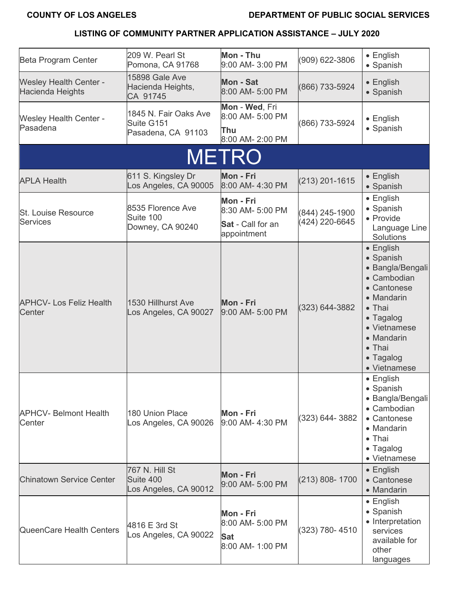| Beta Program Center                               | 209 W. Pearl St<br>Pomona, CA 91768                       | Mon - Thu<br>9:00 AM- 3:00 PM                                            | (909) 622-3806                   | $\bullet$ English<br>• Spanish                                                                                                                                                             |
|---------------------------------------------------|-----------------------------------------------------------|--------------------------------------------------------------------------|----------------------------------|--------------------------------------------------------------------------------------------------------------------------------------------------------------------------------------------|
| <b>Wesley Health Center -</b><br>Hacienda Heights | 15898 Gale Ave<br>Hacienda Heights,<br>CA 91745           | <b>Mon - Sat</b><br>8:00 AM- 5:00 PM                                     | (866) 733-5924                   | • English<br>• Spanish                                                                                                                                                                     |
| <b>Wesley Health Center -</b><br>Pasadena         | 1845 N. Fair Oaks Ave<br>Suite G151<br>Pasadena, CA 91103 | Mon - Wed, Fri<br>8:00 AM- 5:00 PM<br><b>Thu</b><br>8:00 AM- 2:00 PM     | (866) 733-5924                   | $\bullet$ English<br>• Spanish                                                                                                                                                             |
|                                                   |                                                           | <b>METRO</b>                                                             |                                  |                                                                                                                                                                                            |
| <b>APLA Health</b>                                | 611 S. Kingsley Dr<br>Los Angeles, CA 90005               | Mon - Fri<br>8:00 AM- 4:30 PM                                            | $(213)$ 201-1615                 | • English<br>• Spanish                                                                                                                                                                     |
| <b>St. Louise Resource</b><br><b>Services</b>     | 8535 Florence Ave<br>Suite 100<br>Downey, CA 90240        | Mon - Fri<br>8:30 AM- 5:00 PM<br><b>Sat</b> - Call for an<br>appointment | (844) 245-1900<br>(424) 220-6645 | • English<br>• Spanish<br>• Provide<br>Language Line<br>Solutions                                                                                                                          |
| <b>APHCV- Los Feliz Health</b><br>Center          | 1530 Hillhurst Ave<br>Los Angeles, CA 90027               | Mon - Fri<br>9:00 AM- 5:00 PM                                            | (323) 644-3882                   | • English<br>• Spanish<br>• Bangla/Bengali<br>• Cambodian<br>• Cantonese<br>• Mandarin<br>• Thai<br>• Tagalog<br>• Vietnamese<br>• Mandarin<br>$\bullet$ Thai<br>• Tagalog<br>• Vietnamese |
| <b>APHCV- Belmont Health</b><br>Center            | 180 Union Place<br>Los Angeles, CA 90026                  | Mon - Fri<br>9:00 AM- 4:30 PM                                            | (323) 644-3882                   | • English<br>• Spanish<br>• Bangla/Bengali<br>• Cambodian<br>• Cantonese<br>• Mandarin<br>• Thai<br>• Tagalog<br>• Vietnamese                                                              |
| <b>Chinatown Service Center</b>                   | 767 N. Hill St<br>Suite 400<br>Los Angeles, CA 90012      | Mon - Fri<br>9:00 AM- 5:00 PM                                            | (213) 808-1700                   | • English<br>• Cantonese<br>• Mandarin                                                                                                                                                     |
| <b>QueenCare Health Centers</b>                   | 4816 E 3rd St<br>Los Angeles, CA 90022                    | Mon - Fri<br>8:00 AM- 5:00 PM<br><b>Sat</b><br>8:00 AM- 1:00 PM          | (323) 780-4510                   | • English<br>• Spanish<br>• Interpretation<br>services<br>available for<br>other<br>languages                                                                                              |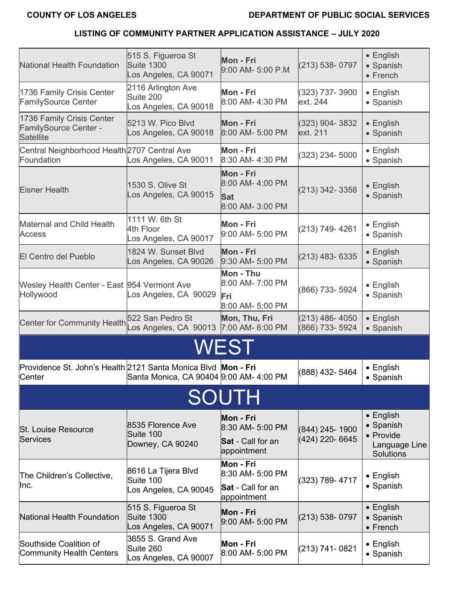| <b>National Health Foundation</b>                                       | 515 S. Figueroa St<br><b>Suite 1300</b><br>Los Angeles, CA 90071 | Mon - Fri<br>9:00 AM- 5:00 P.M                                           | (213) 538-0797                    | $\bullet$ English<br>• Spanish<br>• French                                |
|-------------------------------------------------------------------------|------------------------------------------------------------------|--------------------------------------------------------------------------|-----------------------------------|---------------------------------------------------------------------------|
| 1736 Family Crisis Center<br><b>FamilySource Center</b>                 | 2116 Arlington Ave<br>Suite 200<br>Los Angeles, CA 90018         | Mon - Fri<br>8:00 AM- 4:30 PM                                            | (323) 737-3900<br>ext. 244        | $\bullet$ English<br>• Spanish                                            |
| 1736 Family Crisis Center<br>FamilySource Center -<br><b>Satellite</b>  | 5213 W. Pico Blvd<br>Los Angeles, CA 90018                       | Mon - Fri<br>8:00 AM- 5:00 PM                                            | (323) 904-3832<br>ext. 211        | $\bullet$ English<br>• Spanish                                            |
| Central Neighborhood Health 2707 Central Ave<br>Foundation              | Los Angeles, CA 90011                                            | Mon - Fri<br>8:30 AM- 4:30 PM                                            | (323) 234-5000                    | • English<br>• Spanish                                                    |
| <b>Eisner Health</b>                                                    | 1530 S. Olive St<br>Los Angeles, CA 90015                        | Mon - Fri<br>8:00 AM- 4:00 PM<br><b>Sat</b><br>8:00 AM- 3:00 PM          | (213) 342-3358                    | $\bullet$ English<br>• Spanish                                            |
| <b>Maternal and Child Health</b><br><b>Access</b>                       | 1111 W. 6th St<br>4th Floor<br>Los Angeles, CA 90017             | Mon - Fri<br>9:00 AM- 5:00 PM                                            | (213) 749-4261                    | $\bullet$ English<br>• Spanish                                            |
| <b>El Centro del Pueblo</b>                                             | 1824 W. Sunset Blvd<br>Los Angeles, CA 90026                     | Mon - Fri<br>9:30 AM- 5:00 PM                                            | (213) 483- 6335                   | • English<br>• Spanish                                                    |
| Wesley Health Center - East 954 Vermont Ave<br>Hollywood                | Los Angeles, CA 90029                                            | Mon - Thu<br>8:00 AM- 7:00 PM<br>Fri<br>8:00 AM- 5:00 PM                 | (866) 733- 5924                   | • English<br>• Spanish                                                    |
| Center for Community Health 522 San Pedro St                            | Los Angeles, CA 90013                                            | Mon, Thu, Fri<br>7:00 AM- 6:00 PM                                        | (213) 486-4050<br>(866) 733- 5924 | • English<br>• Spanish                                                    |
|                                                                         |                                                                  | WEST                                                                     |                                   |                                                                           |
| Providence St. John's Health 2121 Santa Monica Blvd Mon - Fri<br>Center | Santa Monica, CA 90404 9:00 AM- 4:00 PM                          |                                                                          | (888) 432- 5464                   | $\bullet$ English<br>• Spanish                                            |
|                                                                         |                                                                  | SOUTH                                                                    |                                   |                                                                           |
| <b>St. Louise Resource</b><br>Services                                  | 8535 Florence Ave<br>Suite 100<br>Downey, CA 90240               | Mon - Fri<br>8:30 AM- 5:00 PM<br><b>Sat</b> - Call for an<br>appointment | (844) 245-1900<br>(424) 220-6645  | $\bullet$ English<br>• Spanish<br>• Provide<br>Language Line<br>Solutions |
| The Children's Collective,<br>Inc.                                      | 8616 La Tijera Blvd<br>Suite 100<br>Los Angeles, CA 90045        | Mon - Fri<br>8:30 AM- 5:00 PM<br><b>Sat</b> - Call for an<br>appointment | (323) 789-4717                    | $\bullet$ English<br>• Spanish                                            |
| National Health Foundation                                              | 515 S. Figueroa St<br><b>Suite 1300</b><br>Los Angeles, CA 90071 | Mon - Fri<br>9:00 AM- 5:00 PM                                            | (213) 538-0797                    | $\bullet$ English<br>• Spanish<br>• French                                |
| Southside Coalition of<br><b>Community Health Centers</b>               | 3655 S. Grand Ave<br>Suite 260<br>Los Angeles, CA 90007          | Mon - Fri<br>8:00 AM- 5:00 PM                                            | (213) 741-0821                    | $\bullet$ English<br>• Spanish                                            |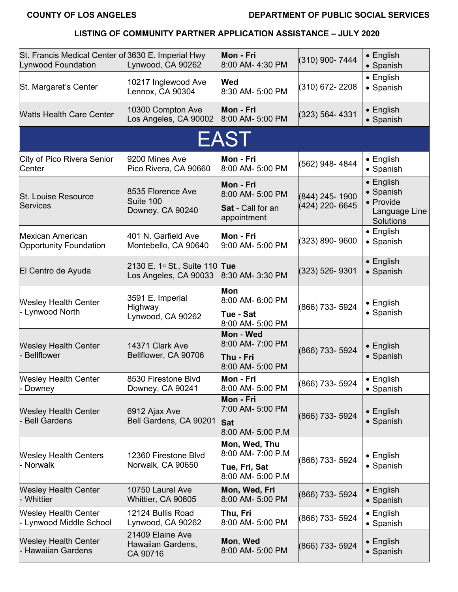| St. Francis Medical Center of 3630 E. Imperial Hwy<br>Lynwood Foundation | Lynwood, CA 90262                                               | Mon - Fri<br>8:00 AM- 4:30 PM                                            | (310) 900-7444                   | • English<br>• Spanish                                                    |
|--------------------------------------------------------------------------|-----------------------------------------------------------------|--------------------------------------------------------------------------|----------------------------------|---------------------------------------------------------------------------|
| St. Margaret's Center                                                    | 10217 Inglewood Ave<br>Lennox, CA 90304                         | <b>Wed</b><br>8:30 AM- 5:00 PM                                           | (310) 672-2208                   | $\bullet$ English<br>• Spanish                                            |
| <b>Watts Health Care Center</b>                                          | 10300 Compton Ave<br>Los Angeles, CA 90002                      | Mon - Fri<br>8:00 AM- 5:00 PM                                            | $(323) 564 - 4331$               | • English<br>• Spanish                                                    |
|                                                                          |                                                                 | <b>EAST</b>                                                              |                                  |                                                                           |
| City of Pico Rivera Senior<br>Center                                     | 9200 Mines Ave<br>Pico Rivera, CA 90660                         | Mon - Fri<br>8:00 AM- 5:00 PM                                            | (562) 948-4844                   | • English<br>• Spanish                                                    |
| <b>St. Louise Resource</b><br><b>Services</b>                            | 8535 Florence Ave<br>Suite 100<br>Downey, CA 90240              | Mon - Fri<br>8:00 AM- 5:00 PM<br><b>Sat</b> - Call for an<br>appointment | (844) 245-1900<br>(424) 220-6645 | $\bullet$ English<br>• Spanish<br>• Provide<br>Language Line<br>Solutions |
| <b>Mexican American</b><br><b>Opportunity Foundation</b>                 | 401 N. Garfield Ave<br>Montebello, CA 90640                     | Mon - Fri<br>9:00 AM- 5:00 PM                                            | (323) 890-9600                   | $\bullet$ English<br>• Spanish                                            |
| El Centro de Ayuda                                                       | 2130 E. 1 <sup>st</sup> St., Suite 110<br>Los Angeles, CA 90033 | Tue<br>8:30 AM- 3:30 PM                                                  | $(323)$ 526-9301                 | • English<br>· Spanish                                                    |
| <b>Wesley Health Center</b><br>- Lynwood North                           | 3591 E. Imperial<br><b>Highway</b><br>Lynwood, CA 90262         | <b>Mon</b><br>8:00 AM- 6:00 PM<br>Tue - Sat<br>8:00 AM- 5:00 PM          | (866) 733- 5924                  | $\bullet$ English<br>• Spanish                                            |
| <b>Wesley Health Center</b><br><b>Bellflower</b>                         | 14371 Clark Ave<br>Bellflower, CA 90706                         | Mon - Wed<br>8:00 AM- 7:00 PM<br>Thu - Fri<br>8:00 AM- 5:00 PM           | (866) 733- 5924                  | • English<br>• Spanish                                                    |
| <b>Wesley Health Center</b><br>- Downey                                  | 8530 Firestone Blvd<br>Downey, CA 90241                         | Mon - Fri<br>8:00 AM- 5:00 PM                                            | (866) 733- 5924                  | $\bullet$ English<br>• Spanish                                            |
| <b>Wesley Health Center</b><br><b>Bell Gardens</b>                       | 6912 Ajax Ave<br>Bell Gardens, CA 90201                         | Mon - Fri<br>7:00 AM- 5:00 PM<br><b>Sat</b><br>8:00 AM- 5:00 P.M         | (866) 733- 5924                  | • English<br>• Spanish                                                    |
| <b>Wesley Health Centers</b><br>- Norwalk                                | 12360 Firestone Blvd<br>Norwalk, CA 90650                       | Mon, Wed, Thu<br>8:00 AM- 7:00 P.M<br>Tue, Fri, Sat<br>8:00 AM- 5:00 P.M | (866) 733- 5924                  | $\bullet$ English<br>• Spanish                                            |
| <b>Wesley Health Center</b><br>Whittier                                  | 10750 Laurel Ave<br>Whittier, CA 90605                          | Mon, Wed, Fri<br>8:00 AM- 5:00 PM                                        | (866) 733- 5924                  | $\bullet$ English<br>• Spanish                                            |
| <b>Wesley Health Center</b><br>- Lynwood Middle School                   | 12124 Bullis Road<br>Lynwood, CA 90262                          | Thu, Fri<br>8:00 AM- 5:00 PM                                             | (866) 733- 5924                  | $\bullet$ English<br>• Spanish                                            |
| <b>Wesley Health Center</b><br><b>Hawaiian Gardens</b>                   | 21409 Elaine Ave<br>Hawaiian Gardens,<br>CA 90716               | Mon, Wed<br>8:00 AM- 5:00 PM                                             | (866) 733- 5924                  | $\bullet$ English<br>• Spanish                                            |